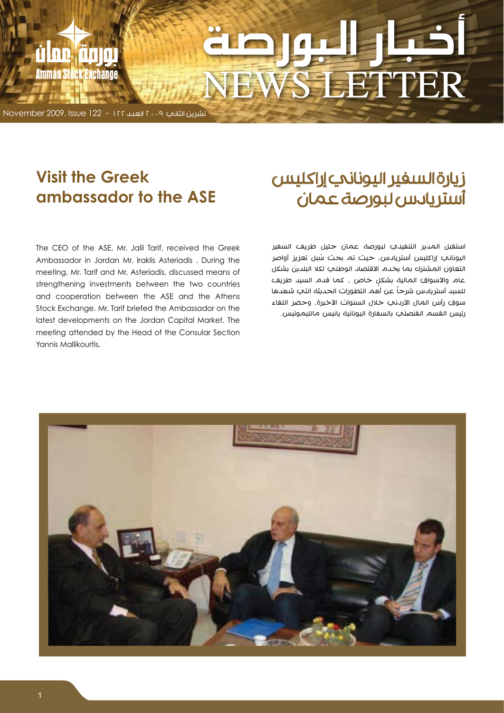# **WS LETTER**

تشرين الثاني 2009 العدد 122 - 122 Issue 2009, November

<u>ù ne finn</u>

**Amman Stock Exchange** 

# **Visit the Greek ASE** ambassador to the ASE

The CEO of the ASE, Mr. Jalil Tarif, received the Greek Ambassador in Jordan Mr. Iraklis Asteriadis . During the meeting, Mr. Tarif and Mr. Asteriadis, discussed means of strengthening investments between the two countries and cooperation between the ASE and the Athens Stock Exchange. Mr. Tarif briefed the Ambassador on the latest developments on the Jordan Capital Market. The meeting attended by the Head of the Consular Section Yannis Mallikourtis.

# زيارة السفير اليوناني إراكليس أستريادس لبورصة عمان

استقبل المدير التنفيذي لبورصة عمان جليل طريف السفير ُ اليوناني إراكليس أستريادس، حيث تم بحث سبل تعزيز أواصر التعاون المشترك بما يخدم االقتصاد الوطني لكال البلدين بشكل عام والأسواق المالية بشكل خاص ، كما قدم السيد طريف للسيد أستريادس شرحاً عن أهم التطورات الحديثة التب شهدها سوق رأس المال الأردني خلال السنوات الأخيرة، وحضر اللقاء رئيس القسم القنصلي بالسفارة اليونانية يانيس مالليموتيس.

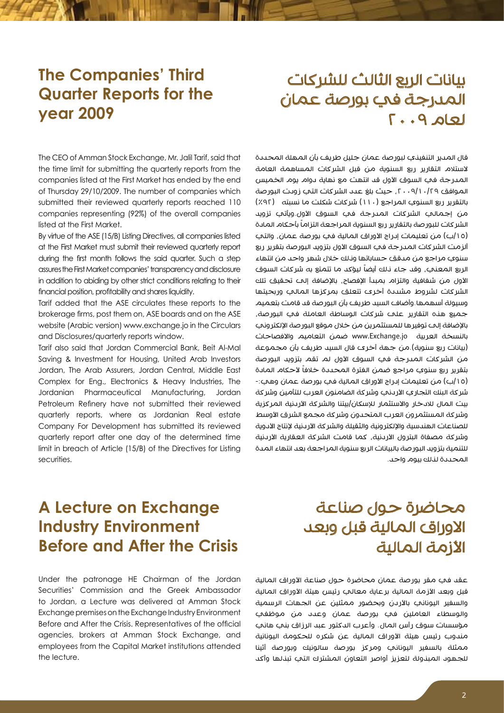# **The Companies' Third Quarter Reports for the 2009 year**

# بيانات الربع الثالث للشركات المدرجة في بورصة عمان لعام ٢٠٠٩

The CEO of Amman Stock Exchange, Mr. Jalil Tarif, said that the time limit for submitting the quarterly reports from the companies listed at the First Market has ended by the end of Thursday 29/10/2009. The number of companies which submitted their reviewed quarterly reports reached 110 companies representing (92%) of the overall companies listed at the First Market.

By virtue of the ASE (15/B) Listing Directives, all companies listed at the First Market must submit their reviewed quarterly report during the first month follows the said quarter. Such a step assures the First Market companies' transparency and disclosure in addition to abiding by other strict conditions relating to their financial position, profitability and shares liquidity.

Tarif added that the ASE circulates these reports to the brokerage firms, post them on, ASE boards and on the ASE website (Arabic version) www.exchange.jo in the Circulars and Disclosures/quarterly reports window.

Tarif also said that Jordan Commercial Bank, Beit Al-Mal Saving & Investment for Housing, United Arab Investors Jordan, The Arab Assurers, Jordan Central, Middle East Complex for Eng., Electronics & Heavy Industries, The Jordanian Pharmaceutical Manufacturing, Jordan Petroleum Refinery have not submitted their reviewed quarterly reports, where as Jordanian Real estate Company For Development has submitted its reviewed quarterly report after one day of the determined time limit in breach of Article (15/B) of the Directives for Listing .securities

قال المدير التنفيذي لبورصة عمان جليل طريف بأن المهلة المحددة الستالم التقارير ربع السنوية من قبل الشركات المساهمة العامة المدرجة في السوق الأول قد انتهت مع نهاية دوام يوم الخميس الموافق ،2009/10/29 حيث بلغ عدد الشركات التي زودت البورصة بالتقرير ربع السنوي المراجع )110( شركات شكلت ما نسبته )%92( من إجمالي الشركات المدرجة في السوق األول.ويأتي تزويد الشركات للبورصة بالتقارير ربع السنوية المراجعة التزاماً بأحكام المادة (١٥|ب) من تعليمات إدراج الأوراق المالية في بورصة عمان، والتي ألزمت الشركات المدرجة في السوق الأول بتزويد البورصة بتقرير ربع سنوي مراجع من مدقق حساباتها ونلك خلال شهر واحد من انتهاء الربع المعني، وقد جاء ناك أيضاً ليؤكد ما تتمتع به شركات السوق األول من شفافية والتزام بمبدأ اإلفصاح، باإلضافة إلى تحقيق تلك الشركات لشروط مشددة أخرى تتعلق بمركزها المالي وربحيتها وسيولة أسهمها.وأضاف السيد طريف بأن البورصة قد قامت بتعميم جميع هذه التقارير على شركات الوساطة العاملة في البورصة، بالإضافة إلى توفيرها للمستثمرين من خلال موقع البورصة الإلكتروني بالنسخة العربية jo.Exchange.www ضمن التعاميم واالفصاحات )بيانات ربع سنوية(.من جهة أخرى قال السيد طريف بأن مجموعة من الشركات المدرجة في السوق الأول لم تقم بتزويد البورصة بتقرير ربع سنوي مراجع ضمن الفترة المحددة خلافاً لأحكام المادة )/15ب( من تعليمات إدراج األوراق المالية في بورصة عمان وهي-: شركة البنك التجاري األردني وشركة الضامنون العرب للتأمين وشركة بيت المال لالدخار واالستثمار لإلسكان/بيتنا والشركة األردنية المركزية وشركة المستثمرون العرب المتحدون وشركة مجمع الشرق الأوسط للصناعات الهندسية والإلكترونية والثقيلة والشركة الأردنية لإنتاج الأدوية وشركة مصفاة البترول الأردنية، كما قامت الشركة العقارية الأردنية للتنمية بتزويد البورصة بالبيانات الربع سنوية المراجعة بعد انتهاء المدة المحددة لذلك بيوم واحد.

# **A Lecture on Exchange Industry Environment Before and After the Crisis**

Under the patronage HE Chairman of the Jordan Securities' Commission and the Greek Ambassador to Jordan, a Lecture was delivered at Amman Stock Exchange premises on the Exchange Industry Environment Before and After the Crisis. Representatives of the official agencies, brokers at Amman Stock Exchange, and employees from the Capital Market institutions attended the lecture.

# محاضرة حول صناعة االوراق المالية قبل وبعد الأزمة المالية

عقد في مقر بورصة عمان محاضرة حول صناعة الأوراق المالية قبل وبعد الأزمة المالية برعاية معالي رئيس هيئة الأوراق المالية والسفير اليوناني بالأردن وبحضور ممثلين عن الجهات الرسمية والوسطاء العاملين في بورصة عمان وعدد من موظفي مؤسسات سوق رأس المال. وأعرب الدكتور عبد الرزاق بني هاني مندوب رئيس هيئة الأوراق المالية عن شكره للحكومة اليونانية ممثلة بالسفير اليوناني ومركز بورصة سالونيك وبورصة أثينا للجهود المبذولة لتعزيز أواصر التعاون المشترك التي تبذلها وأكد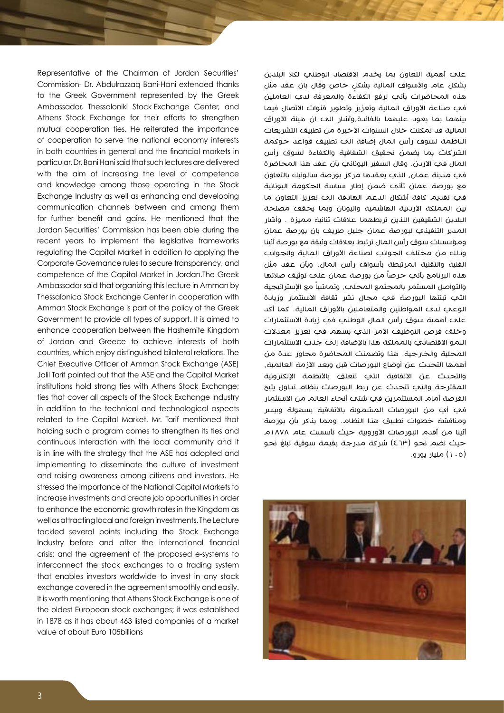Representative of the Chairman of Jordan Securities' Commission- Dr. Abdulrazzaq Bani-Hani extended thanks to the Greek Government represented by the Greek Ambassador, Thessaloniki Stock Exchange Center, and Athens Stock Exchange for their efforts to strengthen mutual cooperation ties. He reiterated the importance of cooperation to serve the national economy interests in both countries in general and the financial markets in particular. Dr. Bani Hani said that such lectures are delivered with the aim of increasing the level of competence and knowledge among those operating in the Stock Exchange Industry as well as enhancing and developing communication channels between and among them for further benefit and gains. He mentioned that the Jordan Securities' Commission has been able during the recent years to implement the legislative frameworks regulating the Capital Market in addition to applying the Corporate Governance rules to secure transparency, and competence of the Capital Market in Jordan. The Greek Ambassador said that organizing this lecture in Amman by Thessalonica Stock Exchange Center in cooperation with Amman Stock Exchange is part of the policy of the Greek Government to provide all types of support. It is aimed to enhance cooperation between the Hashemite Kinadom of Jordan and Greece to achieve interests of both countries, which enjoy distinguished bilateral relations. The Chief Executive Officer of Amman Stock Exchange (ASE) Jalil Tarif pointed out that the ASE and the Capital Market institutions hold strong ties with Athens Stock Exchange; ties that cover all aspects of the Stock Exchange Industry in addition to the technical and technological aspects related to the Capital Market. Mr. Tarif mentioned that holding such a program comes to strengthen its ties and continuous interaction with the local community and it is in line with the strategy that the ASE has adopted and implementing to disseminate the culture of investment and raising awareness among citizens and investors. He stressed the importance of the National Capital Markets to increase investments and create job opportunities in order to enhance the economic growth rates in the Kingdom as well as attracting local and foreign investments. The Lecture tackled several points including the Stock Exchange Industry before and after the international financial crisis; and the agreement of the proposed e-systems to interconnect the stock exchanges to a trading system that enables investors worldwide to invest in any stock exchange covered in the agreement smoothly and easily. It is worth mentioning that Athens Stock Exchange is one of the oldest European stock exchanges; it was established in 1878 as it has about 463 listed companies of a market value of about Euro 105 billions

على أهمية التعاون بما يخدم االقتصاد الوطني لكال البلدين بشكل عام والأسواق المالية بشكل خاص وقال بان عقد مثل **∶** هذه المحاضرات يأتي لرفع الكفاءة والمعرفة لدي العاملين في صناعة الأوراق المالية وتعزيز وتطوير قنوات الاتصال فيما بينهما بما يعود عليهما بالفائدة،وأشار الى ان هيئة األوراق المالية قد تمكنت خلال السنوات الأخيرة من تطبيق التشريعات الناظمة لسوق رأس المال إضافة الى تطبيق قواعد حوكمة الشركات بما يضمن تحقيق الشفافية والكفاءة لسوق رأس المال في االردن. وقال السفير اليوناني بأن عقد هذا المحاضرة في مدينة عمان، الذي يعقدها مركز بورصة سالونيك بالتعاون مع بورصة عمان تأتي ضمن إطار سياسة الحكومة اليونانية في تقديم كافة أشكال الدعم الهادفة الى تعزيز التعاون ما بين المملكة الأردنية الهاشمية واليونان وبما يحقق مصلحة البلدين الشقيقين اللذين تربطهما عالقات ثنائية مميزة . وأشار المدير التنفيذي لبورصة عمان جليل طريف بان بورصة عمان ومؤسسات سوق رأس المال ترتبط بعالقات وثيقة مع بورصة أثينا ونلك من مختلف الجوانب لصناعة الأوراق المالية والجوانب الفنية والتقنية المرتبطة بأسواق رأس المال. وبأن عقد مثل هذه البرنامج يأتب حرصاً من بورصة عمان علم توثيق صلاتها والتواصل المستمر بالمجتمع المحلي، وتماشياً مع الإستراتيجية التي تبنتها البورصة في مجال نشر ثقافة االستثمار وزيادة الوعي لدى المواطنين والمتعاملين بالأوراق المالية. كما أكد على أهمية سوق رأس المال الوطني في زيادة االستثمارات وخلق فرص التوظيف الأمر الني يسهم في تعزيز معدلات النمو الاقتصادي بالمملكة هذا بالإضافة إلى جذب الاستثمارات المحلية والخارجية. هذا وتضمنت المحاضرة محاور عدة من أهمها التحدث عن أوضاع البورصات قبل وبعد الأزمة العالمية، والتحدث عن الاتفاقية التي تتعلق بالأنظمة الإلكترونية المقترحة والتي تتحدث عن ربط البورصات بنظام تداول يتيح الفرصة أمام المستثمرين في شتى أنحاء العالم من االستثمار في أي من البورصات المشمولة بالاتفاقية بسهولة وبيسر ومناقشة خطوات تطبيق هذا النظام. ومما يذكر بأن بورصة أثينا من أقدم البورصات الأوروبية حيث تأسست عام ١٨٧٨م حيث تضم نحو (٤٦٣) شركة مدرجة بقيمة سوقية تبلغ نحو )105( مليار يورو.

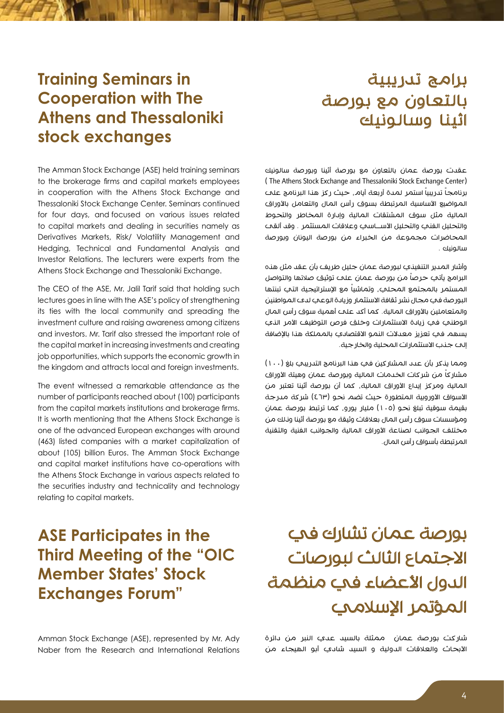# برامج تدريبية بالتعاون مع بورصة اثينا وسالونيك

# **Training Seminars in Cooperation** with The **Athens and Thessaloniki** stock exchanges

The Amman Stock Exchange (ASE) held training seminars to the brokerage firms and capital markets employees in cooperation with the Athens Stock Exchange and Thessaloniki Stock Exchange Center. Seminars continued for four days, and focused on various issues related to capital markets and dealing in securities namely as Derivatives Markets, Risk/ Volatility Management and Hedging, Technical and Fundamental Analysis and Investor Relations. The lecturers were experts from the Athens Stock Exchange and Thessaloniki Exchange.

The CEO of the ASE, Mr. Jalil Tarif said that holding such lectures goes in line with the ASE's policy of strengthening its ties with the local community and spreading the investment culture and raising awareness among citizens and investors. Mr. Tarif also stressed the important role of the capital market in increasing investments and creating job opportunities, which supports the economic growth in the kingdom and attracts local and foreign investments.

The event witnessed a remarkable attendance as the number of participants reached about (100) participants from the capital markets institutions and brokerage firms. It is worth mentioning that the Athens Stock Exchange is one of the advanced European exchanges with around (463) listed companies with a market capitalization of about (105) billion Euros. The Amman Stock Exchange and capital market institutions have co-operations with the Athens Stock Exchange in various aspects related to the securities industry and technicality and technology relating to capital markets.

عقدت بورصة عمان بالتعاون مع بورصة أثينا وبورصة سالونيك (The Athens Stock Exchange and Thessaloniki Stock Exchange Center) برنامجاً تدريبياً استمر لمدة أربعة أيام, حيث ركز هنا البرنامج علم المواضيع الأساسية المرتبطة بسوق رأس المال والتعامل بالأوراق المالية مثل سوق المشتقات المالية وإدارة المخاطر والتحوط والتحليل الفني والتحليل األســاسي وعالقات المستثمر . وقد ألقى المحاضرات مجموعة من الخبراء من بورصة اليونان وبورصة سالونيك .

وأشار المدير التنفيذي لبورصة عمان جليل طريف بأن عقد مثل هذه البرامج يأتب حرصاً من بورصة عمان علم توثيق صلاتها والتواصل المستمر بالمجتمع المحلي، وتماشياً مع الإستراتيجية التي تبنتها البورصة في مجال نشر ثقافة االستثمار وزيادة الوعي لدى المواطنين والمتعاملين بالأوراق المالية. كما أكد على أهمية سوق رأس المال الوطني في زيادة الاستثمارات وخلق فرص التوظيف الأمر الذي يسهم في تعزيز معدالت النمو االقتصادي بالمملكة هذا باإلضافة إلى جذب االستثمارات المحلية والخارجية.

ومما يذكر بأن عدد المشاركين في هذا البرنامج التدريبي بلغ (١٠٠) مشاركاً من شركات الخدمات المالية وبورصة عمان وهيئة الأوراق المالية ومركز إيداع الأوراق المالية، كما أن بورصة أثينا تعتبر من الأسواق الأوروبية المتطورة حيث تضم نحو (٤٦٣) شركة مدرجة بقيمة سوقية تبلغ نحو )105( مليار يورو، كما ترتبط بورصة عمان ومؤسسات سوق رأس المال بعلاقات وثيقة مع بورصة أثينا ونلك من مختلف الجوانب لصناعة األوراق المالية والجوانب الفنية والتقنية المرتبطة بأسواق رأس المال.

# **ASE Participates in the Third Meeting of the "OIC Member States' Stock Exchanges Forum"**

Amman Stock Exchange (ASE), represented by Mr. Adv Naber from the Research and International Relations

# بورصة عمان تشارك في االجتماع الثالث لبورصات الدول الأعضاء في منظمة المؤتمر الإسلامي

شاركت بورصة عمان ممثلة بالسيد عدي النبر من دائرة الأبحاث والعلاقات الدولية و السيد شادي أبو الهيجاء من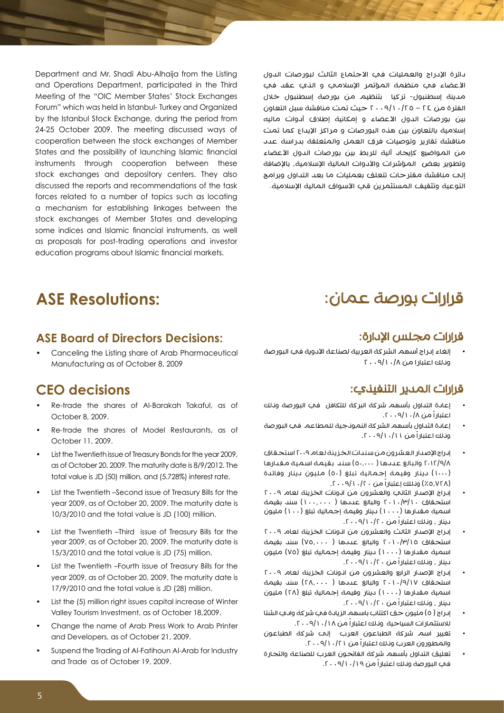Department and Mr. Shadi Abu-Alhaija from the Listing and Operations Department, participated in the Third Meeting of the "OIC Member States' Stock Exchanges Forum" which was held in Istanbul- Turkey and Organized by the Istanbul Stock Exchange, during the period from 24-25 October 2009. The meeting discussed ways of cooperation between the stock exchanges of Member States and the possibility of launching Islamic financial instruments through cooperation between these stock exchanges and depository centers. They also discussed the reports and recommendations of the task forces related to a number of topics such as locating a mechanism for establishing linkages between the stock exchanges of Member States and developing some indices and Islamic financial instruments, as well as proposals for post-trading operations and investor education programs about Islamic financial markets.

دائرة اإلدراج والعمليات في االجتماع الثالث لبورصات الدول األعضاء في منظمة المؤتمر اإلسالمي و الذي عقد في مدينة إسطنبول- تركيا بتنظيم من بورصة إسطنبول خالل الفترة من 24 – 2009/10/25 حيث تمت مناقشة سبل التعاون بين بورصات الدول األعضاء و إمكانية إطالق أدوات ماليه إسلامية بالتعاون بين هذه البورصات و مراكز الإيداع كما تمت مناقشة تقارير وتوصيات فرق العمل والمتعلقة بدراسة عدد من المواضيع كإيجاد آلية للربط بين بورصات الدول الأعضاء وتطوير بعض المؤشرات والأدوات المالية الإسلامية، بالإضافة إلى مناقشة مقترحات تتعلق بعمليات ما بعد التداول وبرامج التوعية وتثقيف المستثمرين قي الأسواق المالية الإسلامية.

## **ASE Resolutions:**

#### **ASE Board of Directors Decisions:**

Canceling the Listing share of Arab Pharmaceutical Manufacturing as of October 8, 2009

### **CEO** decisions

- Re-trade the shares of Al-Barakah Takaful, as of October 8, 2009.
- Re-trade the shares of Model Restaurants, as of October 11, 2009.
- List the Twentieth issue of Treasury Bonds for the year 2009. as of October 20, 2009. The maturity date is 8/9/2012. The total value is JD (50) million, and (5.728%) interest rate.
- List the Twentieth –Second issue of Treasury Bills for the year 2009, as of October 20, 2009. The maturity date is 10/3/2010 and the total value is JD (100) million.
- List the Twentieth –Third issue of Treasury Bills for the year 2009, as of October 20, 2009. The maturity date is 15/3/2010 and the total value is JD (75) million.
- List the Twentieth –Fourth issue of Treasury Bills for the year 2009, as of October 20, 2009. The maturity date is 17/9/2010 and the total value is JD (28) million.
- List the (5) million right issues capital increase of Winter Valley Tourism Investment, as of October 18,2009.
- Change the name of Arab Press Work to Arab Printer and Developers, as of October 21, 2009.
- Suspend the Trading of Al-Fatihoun Al-Arab for Industry and Trade as of October 19, 2009.

# قرارات بورصة عمان:

#### قرارات مجلس الإدارة:

 إلغاء إدراج أسهم الشركة العربية لصناعة األدوية في البورصة وذلك اعتبارا من 2009/10/8

#### قرارات المدير التنفيذي:

- إعادة التداول بأسهم شركة البركة للتكافل في البورصة وذلك اعتباراً من .2009/10/8
- إعادة التداول بأسهم الشركة النموذجية للمطاعم في البورصة ونلك اعتباراً من ١١/١٠/١٩/١٠٠٦.
- إدراج اإلصدار العشرون من سندات الخزينة لعام 2009 استحقاق 2012/9/8 والبالغ عددها ) 50.000( سند بقيمة اسمية مقدارها )1000( دينار وقيمة إجمالية تبلغ )50( مليون دينار وفائدة )%5.728( وذللك إعتباراً من .2009/10/20
- إدراج الإصدار الثاني والعشرون من انونات الخزينة لعام ٢٠٠٩ استحقاق 2010/3/10 والبالغ عددها ) 100.000( سند بقيمة اسمية مقدارها (١٠٠٠) دينار وقيمة إجمالية تبلغ (١٠٠) مليون دينار ، وذلك اعتباراً من .2009/10/20
- إدراج الإصدار الثالث والعشرون من انونات الخزينة لعام ٢٠٠٩ استحقاق 2010/3/15 والبالغ عددها ) 75.000( سند بقيمة اسمية مقدارها (١٠٠٠) دينار وقيمة إجمالية تبلغ (٧٥) مليون دينار ، وذلك اعتباراً من .2009/10/20
- إدراج اإلصدار الرابع والعشرون من اذونات الخزينة لعام 2009 استحقاق 2010/9/17 والبالغ عددها ) 28.000( سند بقيمة اسمية مقدارها (١٠٠٠) دينار وقيمة إجمالية تبلغ (٢٨) مليون دينار ، وذلك اعتباراً من .2009/10/20
- إدراج ( ٥) مليون حق اكتتاب باسهم الزيادة في شركة وادي الشتا لالستثمارات السياحية وذلك اعتباراً من .2009/10/18
- تغيير اسم شركة الطباعون العرب إلى شركة الطباعون والمطورون العرب وذلك اعتباراً من .2009/10/21
- تعليق التداول بأسهم شركة الفاتحون العرب للصناعة والتجارة في البورصة وذلك اعتباراً من .2009/10/19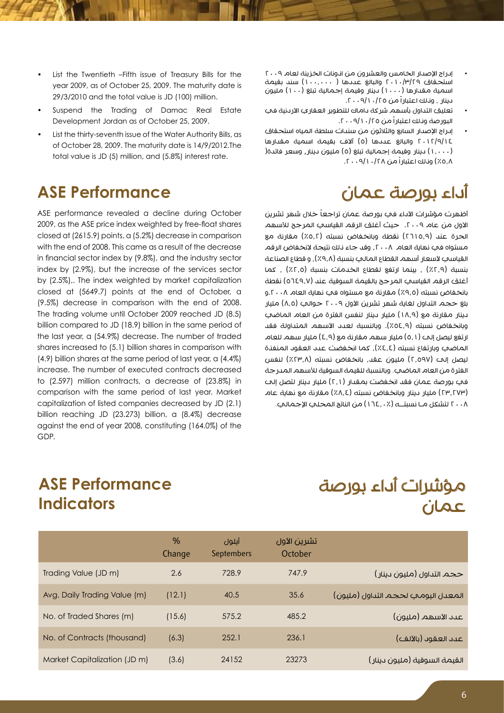- اسراج الإصدار الخامس والعشرون من انونات الخزينة لعام ٢٠٠٩<br>استحقاق ٢٠١٠/٣/٢٩ والبالغ عددها ( ١٠٠...١٠) سند بقيمة اسمية مقدارها (١٠٠٠) دينار وقيمة إجمالية تبلغ (١٠٠) مليون دينار ، ونـلك اعتباراً من ٢٥/١٠/٢٠٠٩/١.
- تعليق التداول بأسهم شركة داماك للتطوير العقاري الأردنية في البورصة ونلك اعتباراً من ٢٥/١٠/٩/١٠٩.
- إدراج اإلصدار السابع والثالثون من سندات سلطة المياه استحقاق 2012/9/14 والبالغ عددها )5( آالف بقيمة اسمية مقدارها )1.000( دينار وقيمة إجمالية تبلغ )5( مليون دينار, وسعر فائدة) 0.8٪) وذلك اعتباراً من ٢٨/١٠/١٩/١٠٠٩.

# أداء بورصة عمان

أظهرت مؤشرات الأداء في بورصة عمان تراجعاً خلال شهر تشرين الاول من عام ٢٠٠٩. حيث أغلق الرقم القياسي المرجح للأسهم الحرة عند (٢٦١٥,٩) نقطة وبانخفاض نسبته (٥,٢٪) مقارنة مع مستواه في نهاية العام ٢٠٠٨، وقد جاء ذلك نتيجة لانخفاض الرقم القياسي لأسعار أسهم القطاع المالي بنسبة (٩,٨٪), و قطاع الصناعة بنسبة (٢,٩٪) ، بينما ارتفع لقطاع الخدمات بنسبة (٢,٥٪) ، كما أغلق الرقم القياسي المرجح بالقيمة السوقية عند )5649.7( نقطة بانخفاض نسبته (٩,٥٪) مقارنة مع مستواه في نهاية العام ٢٠٠٨.و بلغ حجم التداول لغاية شهر تشرين الأول ٢٠٠٩ حوالي (٨,٥) مليار دينار مقارنة مع )18.9( مليار دينار لنفس الفترة من العام الماضي وبانخفاض نسبته (٥٤٫٩٪). وبالنسبة لعدد الأسهم المتداولة فقد ارتفع ليصل إلى (٥,١) مليار سهم مقارنة مع (٤,٩) مليار سهم للعام الماضي وبارتفاع نسبته (٤.٤٪), كما انخفضت عدد العقود المنفذة ليصل إلى (٢,٥٩٧) مليون عقد، بانخفاض نسبته (٢٣,٨٪) لنفس الفترة من العام الماضي. وبالنسبة للقيمة السوقية لألسهم المدرجة في بورصة عمان فقد انخفضت بمقدار (٢٫١) مليار دينار لتصل إلى )23.273( مليار دينار وبانخفاض نسبته )%8.4( مقارنة مع نهاية عام 2008 لتشكل مـا نسبتــه )164.0%( من الناتج المحلي اإلجمالي.

- List the Twentieth –Fifth issue of Treasury Bills for the year 2009, as of October 25, 2009. The maturity date is 29/3/2010 and the total value is JD (100) million.
- Suspend the Trading of Damac Real Estate Development Jordan as of October 25, 2009.
- List the thirty-seventh issue of the Water Authority Bills, as of October 28, 2009. The maturity date is 14/9/2012. The total value is JD (5) million, and (5.8%) interest rate.

# **ASE Performance**

ASE performance revealed a decline during October 2009, as the ASE price index weighted by free-float shares closed at (2615.9) points, a (5.2%) decrease in comparison with the end of 2008. This came as a result of the decrease in financial sector index by (9.8%), and the industry sector index by (2.9%), but the increase of the services sector by (2.5%).. The index weighted by market capitalization closed at (5649.7) points at the end of October, a (9.5%) decrease in comparison with the end of 2008. The trading volume until October 2009 reached JD (8.5) billion compared to JD (18.9) billion in the same period of the last year, a (54.9%) decrease. The number of traded shares increased to (5.1) billion shares in comparison with  $(4.9)$  billion shares at the same period of last year, a  $(4.4\%)$ increase. The number of executed contracts decreased to  $(2.597)$  million contracts, a decrease of  $(23.8\%)$  in comparison with the same period of last year. Market capitalization of listed companies decreased by JD (2.1) billion reaching JD (23.273) billion, a (8.4%) decrease against the end of year 2008, constituting (164.0%) of the .GDP

## **ASE Performance Indicators**

# مؤشرات أداء بورصة عمان

|                              | $\%$<br>Change | أيلول<br>Septembers | تشرين الأول<br>October |                                    |
|------------------------------|----------------|---------------------|------------------------|------------------------------------|
| Trading Value (JD m)         | 2.6            | 728.9               | 747.9                  | حجم التداول (مليون دينار)          |
| Avg. Daily Trading Value (m) | (12.1)         | 40.5                | 35.6                   | المعدل اليومي لحجم التداول (مليون) |
| No. of Traded Shares (m)     | (15.6)         | 575.2               | 485.2                  | عىد الأسهم (مليون)                 |
| No. of Contracts (thousand)  | (6.3)          | 252.1               | 236.1                  | عىد العقود (بالألف)                |
| Market Capitalization (JD m) | (3.6)          | 24152               | 23273                  | القيمة السوقية (مليون دينار)       |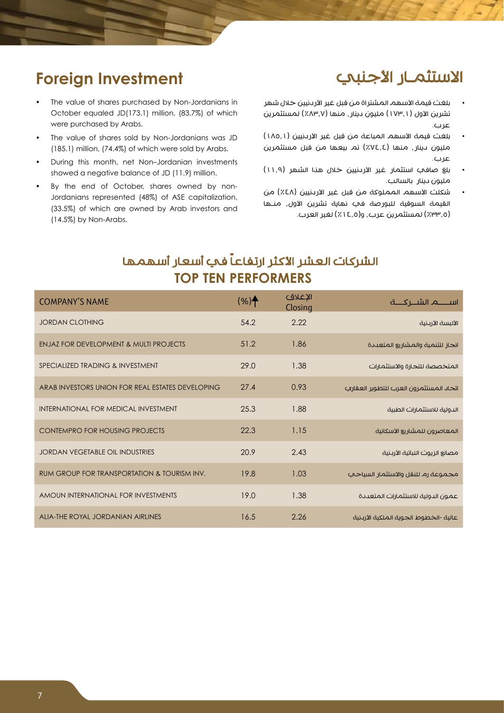## الاستثمـار الأجنبي

#### بلغت قيمة الأسهم المشتراة من قبل غير الأردنيين خلال شهر تشرين الأول (١٧٣,١) مليون دينار , منها (٨٣,٧٪) لمستثمرين عرب.

- بلغت قيمة الأسهم المباعة من قبل غير الأردنيين (١٨٥,١) مليون دينار، منها )%74.4( تم بيعها من قبل مستثمرين عرب.
- بلغ صافي استثمار غير الأردنيين خلال هذا الشهر (١١.٩) مليون دينار بالسالب.
- شكلت الأسهم المملوكة من قبل غير الأردنيين (٤٨٪) من القيمة السوقية للبورصة في نهاية تشرين األول، منـها )%33.5( لمستثمرين عرب، و)%14.5( لغير العرب.

# **Foreign Investment**

- The value of shares purchased by Non-Jordanians in October equaled JD(173.1) million, (83.7%) of which were purchased by Arabs.
- The value of shares sold by Non-Jordanians was JD  $(185.1)$  million,  $(74.4\%)$  of which were sold by Arabs.
- During this month, net Non-Jordanian investments showed a negative balance of JD (11.9) million.
- Jordanians represented (48%) of ASE capitalization, By the end of October, shares owned by non-(33.5%) of which are owned by Arab investors and  $(14.5\%)$  by Non-Arabs.

## الشركات العشر الأكثر ارتفاعاً في أسعار أسهمها **TOP TEN PERFORMERS**

| <b>COMPANY'S NAME</b>                             | $(%)^{\bullet}$ | الإغلاق<br>Closing |                                        |
|---------------------------------------------------|-----------------|--------------------|----------------------------------------|
| <b>JORDAN CLOTHING</b>                            | 54.2            | 2.22               | الألبسة الأرىنية                       |
| <b>ENJAZ FOR DEVELOPMENT &amp; MULTI PROJECTS</b> | 51.2            | 1.86               | انجاز للتنمية والمشاريع المتعيدة       |
| SPECIALIZED TRADING & INVESTMENT                  | 79.0            | 1.38               | المتخصصة للتجارة والاستثمارات          |
| ARAB INVESTORS UNION FOR REAL ESTATES DEVELOPING  | 27.4            | 0.93               | اتحاد المستثمرون العرب للتطوير العقاري |
| INTERNATIONAL FOR MEDICAL INVESTMENT              | 25.3            | 1.88               | الدولية للاستثمارات الطبية             |
| CONTEMPRO FOR HOUSING PROJECTS                    | 22.3            | 1.15               | المعاصرون للمشاريع الاسكانية           |
| JORDAN VEGETABLE OIL INDUSTRIES                   | 20.9            | 2.43               | مصانع الزيوت النباتية الأردنية         |
| RUM GROUP FOR TRANSPORTATION & TOURISM INV.       | 19.8            | 1.03               | مجموعة رم للنقل والاستثمار السياحي     |
| AMOUN INTERNATIONAL FOR INVESTMENTS               | 19.0            | 1.38               | عمون الدولية للاستثمارات المتعددة      |
| ALIA-THE ROYAL JORDANIAN AIRLINES                 | 16.5            | 2.26               | عالية -الخطوط الجوية الملكية الأردنية  |